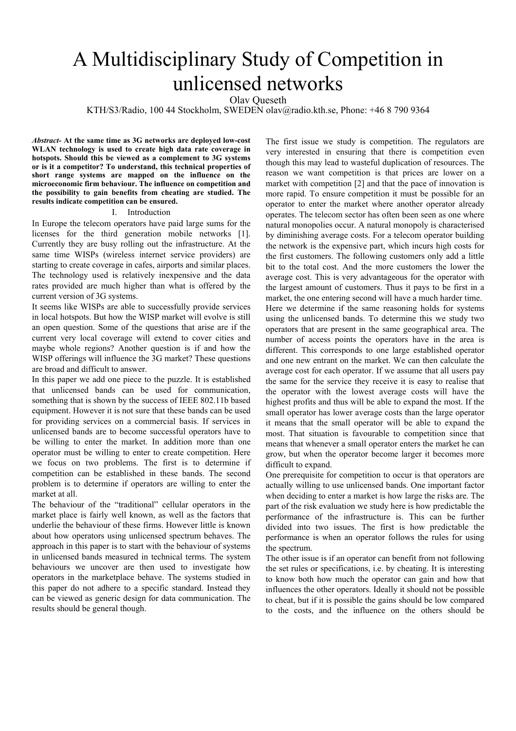# A Multidisciplinary Study of Competition in unlicensed networks

Olav Queseth

KTH/S3/Radio, 100 44 Stockholm, SWEDEN olav@radio.kth.se, Phone: +46 8 790 9364

*Abstract-* **At the same time as 3G networks are deployed low-cost WLAN technology is used to create high data rate coverage in hotspots. Should this be viewed as a complement to 3G systems or is it a competitor? To understand, this technical properties of**  short range systems are mapped on the influence on the **microeconomic firm behaviour. The influence on competition and the possibility to gain benefits from cheating are studied. The results indicate competition can be ensured.** 

## I. Introduction

In Europe the telecom operators have paid large sums for the licenses for the third generation mobile networks [1]. Currently they are busy rolling out the infrastructure. At the same time WISPs (wireless internet service providers) are starting to create coverage in cafes, airports and similar places. The technology used is relatively inexpensive and the data rates provided are much higher than what is offered by the current version of 3G systems.

It seems like WISPs are able to successfully provide services in local hotspots. But how the WISP market will evolve is still an open question. Some of the questions that arise are if the current very local coverage will extend to cover cities and maybe whole regions? Another question is if and how the WISP offerings will influence the 3G market? These questions are broad and difficult to answer.

In this paper we add one piece to the puzzle. It is established that unlicensed bands can be used for communication, something that is shown by the success of IEEE 802.11b based equipment. However it is not sure that these bands can be used for providing services on a commercial basis. If services in unlicensed bands are to become successful operators have to be willing to enter the market. In addition more than one operator must be willing to enter to create competition. Here we focus on two problems. The first is to determine if competition can be established in these bands. The second problem is to determine if operators are willing to enter the market at all.

The behaviour of the "traditional" cellular operators in the market place is fairly well known, as well as the factors that underlie the behaviour of these firms. However little is known about how operators using unlicensed spectrum behaves. The approach in this paper is to start with the behaviour of systems in unlicensed bands measured in technical terms. The system behaviours we uncover are then used to investigate how operators in the marketplace behave. The systems studied in this paper do not adhere to a specific standard. Instead they can be viewed as generic design for data communication. The results should be general though.

The first issue we study is competition. The regulators are very interested in ensuring that there is competition even though this may lead to wasteful duplication of resources. The reason we want competition is that prices are lower on a market with competition [2] and that the pace of innovation is more rapid. To ensure competition it must be possible for an operator to enter the market where another operator already operates. The telecom sector has often been seen as one where natural monopolies occur. A natural monopoly is characterised by diminishing average costs. For a telecom operator building the network is the expensive part, which incurs high costs for the first customers. The following customers only add a little bit to the total cost. And the more customers the lower the average cost. This is very advantageous for the operator with the largest amount of customers. Thus it pays to be first in a market, the one entering second will have a much harder time. Here we determine if the same reasoning holds for systems using the unlicensed bands. To determine this we study two operators that are present in the same geographical area. The number of access points the operators have in the area is different. This corresponds to one large established operator and one new entrant on the market. We can then calculate the average cost for each operator. If we assume that all users pay the same for the service they receive it is easy to realise that the operator with the lowest average costs will have the highest profits and thus will be able to expand the most. If the small operator has lower average costs than the large operator it means that the small operator will be able to expand the most. That situation is favourable to competition since that means that whenever a small operator enters the market he can grow, but when the operator become larger it becomes more difficult to expand.

One prerequisite for competition to occur is that operators are actually willing to use unlicensed bands. One important factor when deciding to enter a market is how large the risks are. The part of the risk evaluation we study here is how predictable the performance of the infrastructure is. This can be further divided into two issues. The first is how predictable the performance is when an operator follows the rules for using the spectrum.

The other issue is if an operator can benefit from not following the set rules or specifications, i.e. by cheating. It is interesting to know both how much the operator can gain and how that influences the other operators. Ideally it should not be possible to cheat, but if it is possible the gains should be low compared to the costs, and the influence on the others should be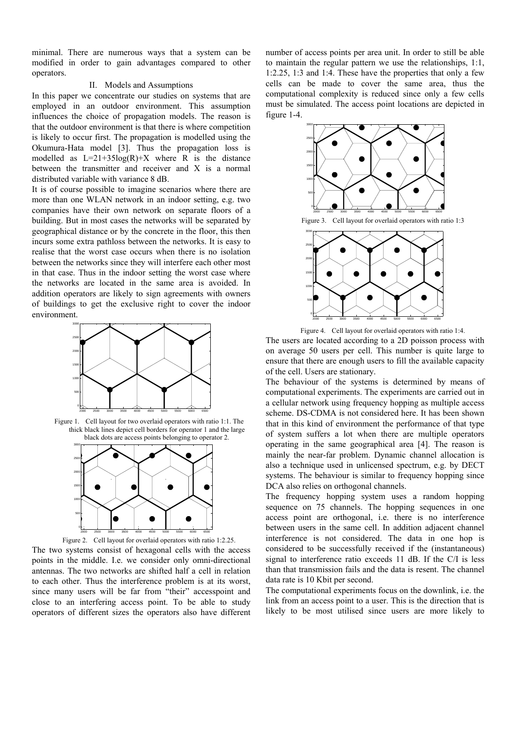minimal. There are numerous ways that a system can be modified in order to gain advantages compared to other operators.

# II. Models and Assumptions

In this paper we concentrate our studies on systems that are employed in an outdoor environment. This assumption influences the choice of propagation models. The reason is that the outdoor environment is that there is where competition is likely to occur first. The propagation is modelled using the Okumura-Hata model [3]. Thus the propagation loss is modelled as  $L=21+35\log(R)+X$  where R is the distance between the transmitter and receiver and X is a normal distributed variable with variance 8 dB.

It is of course possible to imagine scenarios where there are more than one WLAN network in an indoor setting, e.g. two companies have their own network on separate floors of a building. But in most cases the networks will be separated by geographical distance or by the concrete in the floor, this then incurs some extra pathloss between the networks. It is easy to realise that the worst case occurs when there is no isolation between the networks since they will interfere each other most in that case. Thus in the indoor setting the worst case where the networks are located in the same area is avoided. In addition operators are likely to sign agreements with owners of buildings to get the exclusive right to cover the indoor environment.



Figure 1. Cell layout for two overlaid operators with ratio 1:1. The thick black lines depict cell borders for operator 1 and the large black dots are access points belonging to operator 2.



Figure 2. Cell layout for overlaid operators with ratio 1:2.25. The two systems consist of hexagonal cells with the access points in the middle. I.e. we consider only omni-directional antennas. The two networks are shifted half a cell in relation to each other. Thus the interference problem is at its worst, since many users will be far from "their" accesspoint and close to an interfering access point. To be able to study operators of different sizes the operators also have different number of access points per area unit. In order to still be able to maintain the regular pattern we use the relationships, 1:1, 1:2.25, 1:3 and 1:4. These have the properties that only a few cells can be made to cover the same area, thus the computational complexity is reduced since only a few cells must be simulated. The access point locations are depicted in figure 1-4.



Figure 3. Cell layout for overlaid operators with ratio 1:3



Figure 4. Cell layout for overlaid operators with ratio 1:4.

The users are located according to a 2D poisson process with on average 50 users per cell. This number is quite large to ensure that there are enough users to fill the available capacity of the cell. Users are stationary.

The behaviour of the systems is determined by means of computational experiments. The experiments are carried out in a cellular network using frequency hopping as multiple access scheme. DS-CDMA is not considered here. It has been shown that in this kind of environment the performance of that type of system suffers a lot when there are multiple operators operating in the same geographical area [4]. The reason is mainly the near-far problem. Dynamic channel allocation is also a technique used in unlicensed spectrum, e.g. by DECT systems. The behaviour is similar to frequency hopping since DCA also relies on orthogonal channels.

The frequency hopping system uses a random hopping sequence on 75 channels. The hopping sequences in one access point are orthogonal, i.e. there is no interference between users in the same cell. In addition adjacent channel interference is not considered. The data in one hop is considered to be successfully received if the (instantaneous) signal to interference ratio exceeds 11 dB. If the C/I is less than that transmission fails and the data is resent. The channel data rate is 10 Kbit per second.

The computational experiments focus on the downlink, i.e. the link from an access point to a user. This is the direction that is likely to be most utilised since users are more likely to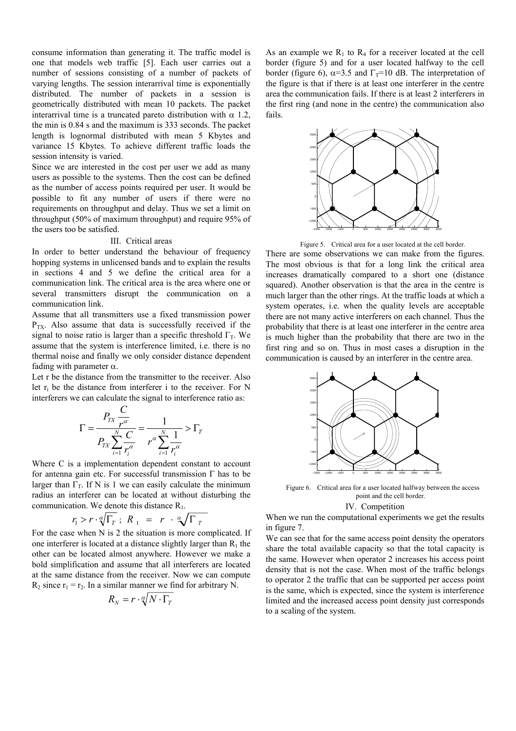consume information than generating it. The traffic model is one that models web traffic [5]. Each user carries out a number of sessions consisting of a number of packets of varying lengths. The session interarrival time is exponentially distributed. The number of packets in a session is geometrically distributed with mean 10 packets. The packet interarrival time is a truncated pareto distribution with  $\alpha$  1.2, the min is 0.84 s and the maximum is 333 seconds. The packet length is lognormal distributed with mean 5 Kbytes and variance 15 Kbytes. To achieve different traffic loads the session intensity is varied.

Since we are interested in the cost per user we add as many users as possible to the systems. Then the cost can be defined as the number of access points required per user. It would be possible to fit any number of users if there were no requirements on throughput and delay. Thus we set a limit on throughput (50% of maximum throughput) and require 95% of the users too be satisfied.

# III. Critical areas

In order to better understand the behaviour of frequency hopping systems in unlicensed bands and to explain the results in sections 4 and 5 we define the critical area for a communication link. The critical area is the area where one or several transmitters disrupt the communication on a communication link.

Assume that all transmitters use a fixed transmission power  $P_{TX}$ . Also assume that data is successfully received if the signal to noise ratio is larger than a specific threshold  $\Gamma$ <sub>T</sub>. We assume that the system is interference limited, i.e. there is no thermal noise and finally we only consider distance dependent fading with parameter  $\alpha$ .

Let r be the distance from the transmitter to the receiver. Also let ri be the distance from interferer i to the receiver. For N interferers we can calculate the signal to interference ratio as:

$$
\Gamma = \frac{P_{TX} \frac{C}{r^{\alpha}}}{P_{TX} \sum_{i=1}^{N} \frac{C}{r_i^{\alpha}}} = \frac{1}{r^{\alpha} \sum_{i=1}^{N} \frac{1}{r_i^{\alpha}}} > \Gamma_{T}
$$

Where C is a implementation dependent constant to account for antenna gain etc. For successful transmission  $\Gamma$  has to be larger than  $\Gamma$ <sub>T</sub>. If N is 1 we can easily calculate the minimum radius an interferer can be located at without disturbing the communication. We denote this distance  $R_1$ .

$$
r_1 > r \cdot \sqrt[\alpha]{\Gamma_T} \; ; \; R_1 = r \cdot \sqrt[\alpha]{\Gamma_T}
$$

For the case when N is 2 the situation is more complicated. If one interferer is located at a distance slightly larger than  $R_1$  the other can be located almost anywhere. However we make a bold simplification and assume that all interferers are located at the same distance from the receiver. Now we can compute  $R_2$  since  $r_1 = r_2$ . In a similar manner we find for arbitrary N.

$$
R_N = r \cdot \sqrt[\alpha]{N} \cdot \Gamma_T
$$

As an example we  $R_1$  to  $R_4$  for a receiver located at the cell border (figure 5) and for a user located halfway to the cell border (figure 6),  $\alpha=3.5$  and  $\Gamma_{T}=10$  dB. The interpretation of the figure is that if there is at least one interferer in the centre area the communication fails. If there is at least 2 interferers in the first ring (and none in the centre) the communication also fails.



Figure 5. Critical area for a user located at the cell border.

There are some observations we can make from the figures. The most obvious is that for a long link the critical area increases dramatically compared to a short one (distance squared). Another observation is that the area in the centre is much larger than the other rings. At the traffic loads at which a system operates, i.e. when the quality levels are acceptable there are not many active interferers on each channel. Thus the probability that there is at least one interferer in the centre area is much higher than the probability that there are two in the first ring and so on. Thus in most cases a disruption in the communication is caused by an interferer in the centre area.



Figure 6. Critical area for a user located halfway between the access point and the cell border.

#### IV. Competition

When we run the computational experiments we get the results in figure 7.

We can see that for the same access point density the operators share the total available capacity so that the total capacity is the same. However when operator 2 increases his access point density that is not the case. When most of the traffic belongs to operator 2 the traffic that can be supported per access point is the same, which is expected, since the system is interference limited and the increased access point density just corresponds to a scaling of the system.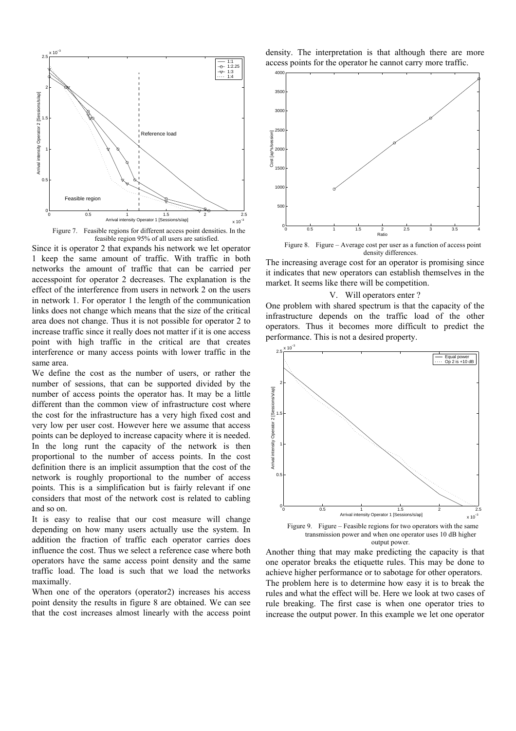

Figure 7. Feasible regions for different access point densities. In the feasible region 95% of all users are satisfied.

Since it is operator 2 that expands his network we let operator 1 keep the same amount of traffic. With traffic in both networks the amount of traffic that can be carried per accesspoint for operator 2 decreases. The explanation is the effect of the interference from users in network 2 on the users in network 1. For operator 1 the length of the communication links does not change which means that the size of the critical area does not change. Thus it is not possible for operator 2 to increase traffic since it really does not matter if it is one access point with high traffic in the critical are that creates interference or many access points with lower traffic in the same area.

We define the cost as the number of users, or rather the number of sessions, that can be supported divided by the number of access points the operator has. It may be a little different than the common view of infrastructure cost where the cost for the infrastructure has a very high fixed cost and very low per user cost. However here we assume that access points can be deployed to increase capacity where it is needed. In the long runt the capacity of the network is then proportional to the number of access points. In the cost definition there is an implicit assumption that the cost of the network is roughly proportional to the number of access points. This is a simplification but is fairly relevant if one considers that most of the network cost is related to cabling and so on.

It is easy to realise that our cost measure will change depending on how many users actually use the system. In addition the fraction of traffic each operator carries does influence the cost. Thus we select a reference case where both operators have the same access point density and the same traffic load. The load is such that we load the networks maximally.

When one of the operators (operator2) increases his access point density the results in figure 8 are obtained. We can see that the cost increases almost linearly with the access point density. The interpretation is that although there are more access points for the operator he cannot carry more traffic.



Figure 8. Figure – Average cost per user as a function of access point density differences

The increasing average cost for an operator is promising since it indicates that new operators can establish themselves in the market. It seems like there will be competition.

### V. Will operators enter ?

One problem with shared spectrum is that the capacity of the infrastructure depends on the traffic load of the other operators. Thus it becomes more difficult to predict the performance. This is not a desired property.



Figure 9. Figure – Feasible regions for two operators with the same transmission power and when one operator uses 10 dB higher output power.

Another thing that may make predicting the capacity is that one operator breaks the etiquette rules. This may be done to achieve higher performance or to sabotage for other operators. The problem here is to determine how easy it is to break the rules and what the effect will be. Here we look at two cases of rule breaking. The first case is when one operator tries to increase the output power. In this example we let one operator